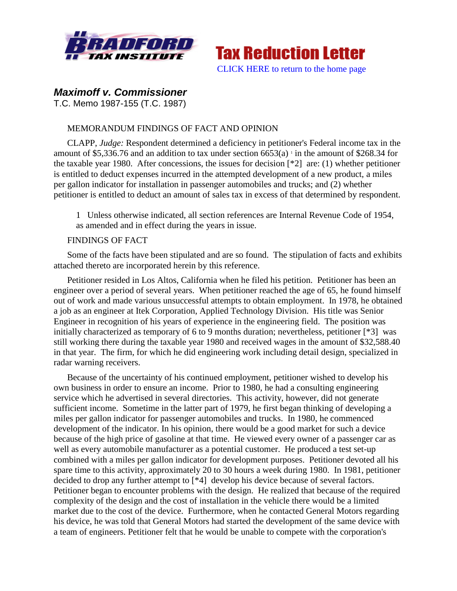



## *Maximoff v. Commissioner*

T.C. Memo 1987-155 (T.C. 1987)

## MEMORANDUM FINDINGS OF FACT AND OPINION

CLAPP, *Judge:* Respondent determined a deficiency in petitioner's Federal income tax in the amount of \$5,336.76 and an addition to tax under section  $6653(a)$  in the amount of \$268.34 for the taxable year 1980. After concessions, the issues for decision  $[^{*2}]$  are: (1) whether petitioner is entitled to deduct expenses incurred in the attempted development of a new product, a miles per gallon indicator for installation in passenger automobiles and trucks; and (2) whether petitioner is entitled to deduct an amount of sales tax in excess of that determined by respondent.

1 Unless otherwise indicated, all section references are Internal Revenue Code of 1954, as amended and in effect during the years in issue.

## FINDINGS OF FACT

Some of the facts have been stipulated and are so found. The stipulation of facts and exhibits attached thereto are incorporated herein by this reference.

Petitioner resided in Los Altos, California when he filed his petition. Petitioner has been an engineer over a period of several years. When petitioner reached the age of 65, he found himself out of work and made various unsuccessful attempts to obtain employment. In 1978, he obtained a job as an engineer at Itek Corporation, Applied Technology Division. His title was Senior Engineer in recognition of his years of experience in the engineering field. The position was initially characterized as temporary of 6 to 9 months duration; nevertheless, petitioner [\*3] was still working there during the taxable year 1980 and received wages in the amount of \$32,588.40 in that year. The firm, for which he did engineering work including detail design, specialized in radar warning receivers.

Because of the uncertainty of his continued employment, petitioner wished to develop his own business in order to ensure an income. Prior to 1980, he had a consulting engineering service which he advertised in several directories. This activity, however, did not generate sufficient income. Sometime in the latter part of 1979, he first began thinking of developing a miles per gallon indicator for passenger automobiles and trucks. In 1980, he commenced development of the indicator. In his opinion, there would be a good market for such a device because of the high price of gasoline at that time. He viewed every owner of a passenger car as well as every automobile manufacturer as a potential customer. He produced a test set-up combined with a miles per gallon indicator for development purposes. Petitioner devoted all his spare time to this activity, approximately 20 to 30 hours a week during 1980. In 1981, petitioner decided to drop any further attempt to [\*4] develop his device because of several factors. Petitioner began to encounter problems with the design. He realized that because of the required complexity of the design and the cost of installation in the vehicle there would be a limited market due to the cost of the device. Furthermore, when he contacted General Motors regarding his device, he was told that General Motors had started the development of the same device with a team of engineers. Petitioner felt that he would be unable to compete with the corporation's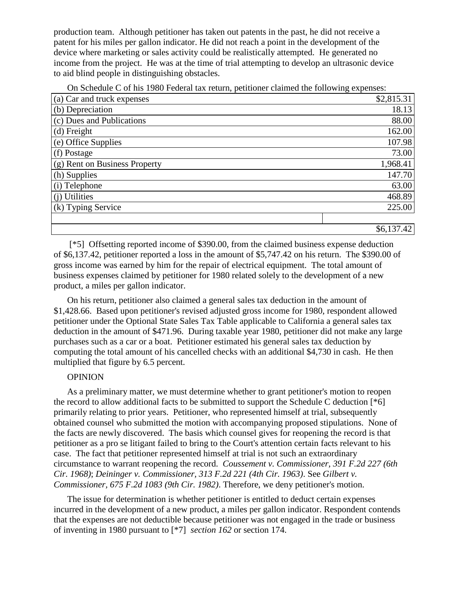production team. Although petitioner has taken out patents in the past, he did not receive a patent for his miles per gallon indicator. He did not reach a point in the development of the device where marketing or sales activity could be realistically attempted. He generated no income from the project. He was at the time of trial attempting to develop an ultrasonic device to aid blind people in distinguishing obstacles.

On Schedule C of his 1980 Federal tax return, petitioner claimed the following expenses:

| (a) Car and truck expenses    | \$2,815.31 |
|-------------------------------|------------|
| (b) Depreciation              | 18.13      |
| (c) Dues and Publications     | 88.00      |
| (d) Freight                   | 162.00     |
| (e) Office Supplies           | 107.98     |
| (f) Postage                   | 73.00      |
| (g) Rent on Business Property | 1,968.41   |
| (h) Supplies                  | 147.70     |
| (i) Telephone                 | 63.00      |
| (j) Utilities                 | 468.89     |
| (k) Typing Service            | 225.00     |
|                               |            |
|                               | \$6,137.42 |

[\*5] Offsetting reported income of \$390.00, from the claimed business expense deduction of \$6,137.42, petitioner reported a loss in the amount of \$5,747.42 on his return. The \$390.00 of gross income was earned by him for the repair of electrical equipment. The total amount of business expenses claimed by petitioner for 1980 related solely to the development of a new product, a miles per gallon indicator.

On his return, petitioner also claimed a general sales tax deduction in the amount of \$1,428.66. Based upon petitioner's revised adjusted gross income for 1980, respondent allowed petitioner under the Optional State Sales Tax Table applicable to California a general sales tax deduction in the amount of \$471.96. During taxable year 1980, petitioner did not make any large purchases such as a car or a boat. Petitioner estimated his general sales tax deduction by computing the total amount of his cancelled checks with an additional \$4,730 in cash. He then multiplied that figure by 6.5 percent.

## **OPINION**

As a preliminary matter, we must determine whether to grant petitioner's motion to reopen the record to allow additional facts to be submitted to support the Schedule C deduction [\*6] primarily relating to prior years. Petitioner, who represented himself at trial, subsequently obtained counsel who submitted the motion with accompanying proposed stipulations. None of the facts are newly discovered. The basis which counsel gives for reopening the record is that petitioner as a pro se litigant failed to bring to the Court's attention certain facts relevant to his case. The fact that petitioner represented himself at trial is not such an extraordinary circumstance to warrant reopening the record. *Coussement v. Commissioner, 391 F.2d 227 (6th Cir. 1968)*; *Deininger v. Commissioner, 313 F.2d 221 (4th Cir. 1963)*. See *Gilbert v. Commissioner, 675 F.2d 1083 (9th Cir. 1982)*. Therefore, we deny petitioner's motion.

The issue for determination is whether petitioner is entitled to deduct certain expenses incurred in the development of a new product, a miles per gallon indicator. Respondent contends that the expenses are not deductible because petitioner was not engaged in the trade or business of inventing in 1980 pursuant to [\*7] *section 162* or section 174.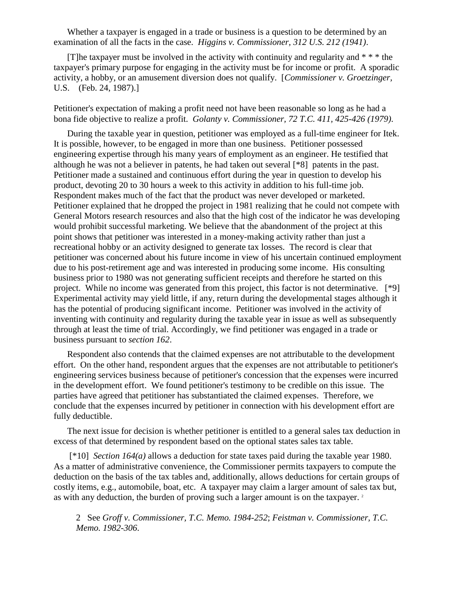Whether a taxpayer is engaged in a trade or business is a question to be determined by an examination of all the facts in the case. *Higgins v. Commissioner, 312 U.S. 212 (1941)*.

[T] he taxpayer must be involved in the activity with continuity and regularity and  $* * *$  the taxpayer's primary purpose for engaging in the activity must be for income or profit. A sporadic activity, a hobby, or an amusement diversion does not qualify. [*Commissioner v. Groetzinger,* U.S. (Feb. 24, 1987).]

Petitioner's expectation of making a profit need not have been reasonable so long as he had a bona fide objective to realize a profit. *Golanty v. Commissioner, 72 T.C. 411, 425-426 (1979)*.

During the taxable year in question, petitioner was employed as a full-time engineer for Itek. It is possible, however, to be engaged in more than one business. Petitioner possessed engineering expertise through his many years of employment as an engineer. He testified that although he was not a believer in patents, he had taken out several [\*8] patents in the past. Petitioner made a sustained and continuous effort during the year in question to develop his product, devoting 20 to 30 hours a week to this activity in addition to his full-time job. Respondent makes much of the fact that the product was never developed or marketed. Petitioner explained that he dropped the project in 1981 realizing that he could not compete with General Motors research resources and also that the high cost of the indicator he was developing would prohibit successful marketing. We believe that the abandonment of the project at this point shows that petitioner was interested in a money-making activity rather than just a recreational hobby or an activity designed to generate tax losses. The record is clear that petitioner was concerned about his future income in view of his uncertain continued employment due to his post-retirement age and was interested in producing some income. His consulting business prior to 1980 was not generating sufficient receipts and therefore he started on this project. While no income was generated from this project, this factor is not determinative. [\*9] Experimental activity may yield little, if any, return during the developmental stages although it has the potential of producing significant income. Petitioner was involved in the activity of inventing with continuity and regularity during the taxable year in issue as well as subsequently through at least the time of trial. Accordingly, we find petitioner was engaged in a trade or business pursuant to *section 162*.

Respondent also contends that the claimed expenses are not attributable to the development effort. On the other hand, respondent argues that the expenses are not attributable to petitioner's engineering services business because of petitioner's concession that the expenses were incurred in the development effort. We found petitioner's testimony to be credible on this issue. The parties have agreed that petitioner has substantiated the claimed expenses. Therefore, we conclude that the expenses incurred by petitioner in connection with his development effort are fully deductible.

The next issue for decision is whether petitioner is entitled to a general sales tax deduction in excess of that determined by respondent based on the optional states sales tax table.

[\*10] *Section 164(a)* allows a deduction for state taxes paid during the taxable year 1980. As a matter of administrative convenience, the Commissioner permits taxpayers to compute the deduction on the basis of the tax tables and, additionally, allows deductions for certain groups of costly items, e.g., automobile, boat, etc. A taxpayer may claim a larger amount of sales tax but, as with any deduction, the burden of proving such a larger amount is on the taxpayer.<sup>2</sup>

2 See *Groff v. Commissioner, T.C. Memo. 1984-252*; *Feistman v. Commissioner, T.C. Memo. 1982-306*.